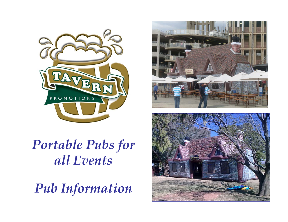

*Portable Pubs for all Events*

*Pub Information*



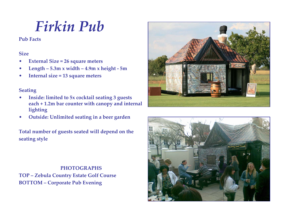### *Firkin Pub*

**Pub Facts**

#### **Size**

- $\bullet$ **External Size <sup>=</sup> <sup>26</sup> square meters**
- $\bullet$ **Length – 5.3m <sup>x</sup> width – 4.9m <sup>x</sup> height ‐ 5m**
- $\bullet$ **Internal size <sup>=</sup> 13 square meters**

#### **Seating**

- • **Inside: limited to 5x cocktail seating <sup>3</sup> guests each <sup>+</sup> 1.2m bar counter with canopy and internal lighting**
- $\bullet$ **Outside: Unlimited seating in <sup>a</sup> beer garden**

**Total number of guests seated will depend on the seating style**

**PHOTOGRAPHSTOP – Zebula Country Estate Golf Course BOTTOM – Corporate Pub Evening**



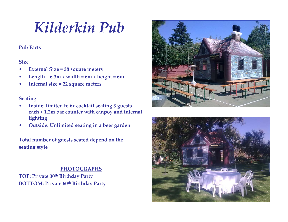## *Kilderkin Pub*

#### **Pub Facts**

#### **Size**

- $\bullet$ **External Size <sup>=</sup> <sup>38</sup> square meters**
- $\bullet$  $Length - 6.3m \times width = 6m \times height = 6m$
- $\bullet$ **Internal size <sup>=</sup> <sup>22</sup> square meters**

#### **Seating**

- $\bullet$  **Inside: limited to 6x cocktail seating <sup>3</sup> guests each <sup>+</sup> 1.2m bar counter with canpoy and internal lighting**
- •**Outside: Unlimited seating in <sup>a</sup> beer garden**

**Total number of guests seated depend on the seating style**

#### **PHOTOGRAPHS**

**TOP: Private 30th Birthday Party BOTTOM: Private 60th Birthday Party**



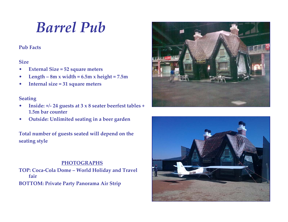### *Barrel Pub*

#### **Pub Facts**

#### **Size**

- $\bullet$ **External Size <sup>=</sup> <sup>52</sup> square meters**
- $\bullet$  $Length - 8m \times width = 6.5m \times height = 7.5m$
- $\bullet$ **Internal size <sup>=</sup> 31 square meters**

#### **Seating**

- $\bullet$  **Inside: +/‐ <sup>24</sup> guests at <sup>3</sup> <sup>x</sup> <sup>8</sup> seater beerfest tables <sup>+</sup> 1.5m bar counter**
- $\bullet$ **Outside: Unlimited seating in <sup>a</sup> beer garden**

**Total number of guests seated will depend on the seating style**

#### **PHOTOGRAPHS**

**TOP: Coca‐Cola Dome – World Holiday and Travel fair BOTTOM: Private Party Panorama Air Strip**